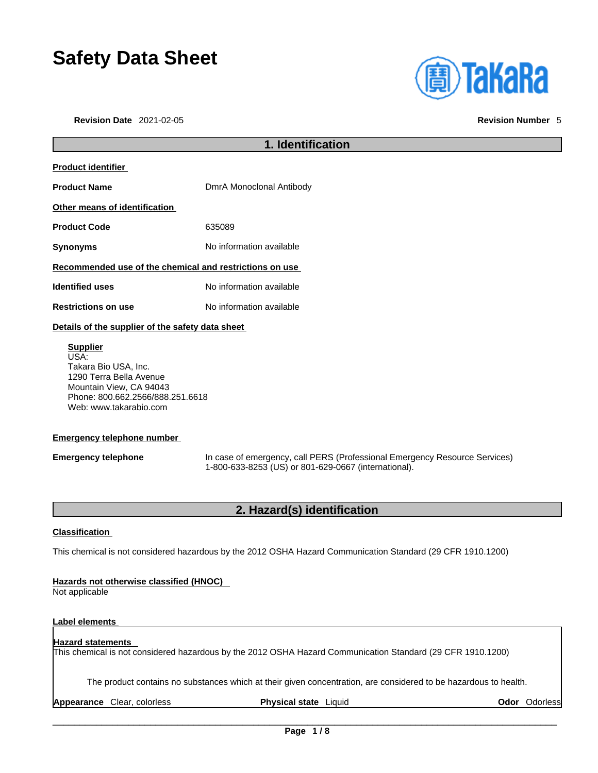# **Safety Data Sheet**

**Revision Date** 2021-02-05 **Revision Number** 5



# **1. Identification Product identifier Product Name** DmrA Monoclonal Antibody **Other means of identification Product Code** 635089 **Synonyms** No information available **Recommended use of the chemical and restrictions on use Identified uses** No information available **Restrictions on use** No information available **Details of the supplier of the safety data sheet Supplier** USA: Takara Bio USA, Inc. 1290 Terra Bella Avenue

Mountain View, CA 94043 Phone: 800.662.2566/888.251.6618 Web: www.takarabio.com

#### **Emergency telephone number**

**Emergency telephone** In case of emergency, call PERS (Professional Emergency Resource Services) 1-800-633-8253 (US) or 801-629-0667 (international).

# **2. Hazard(s) identification**

#### **Classification**

This chemical is not considered hazardous by the 2012 OSHA Hazard Communication Standard (29 CFR 1910.1200)

#### **Hazards not otherwise classified (HNOC)**

Not applicable

### **Label elements**

#### **Hazard statements**  This chemical is not considered hazardous by the 2012 OSHA Hazard Communication Standard (29 CFR 1910.1200)

The product contains no substances which at their given concentration, are considered to be hazardous to health.

**Appearance** Clear, colorless **Physical state** Liquid **Odor** Odorless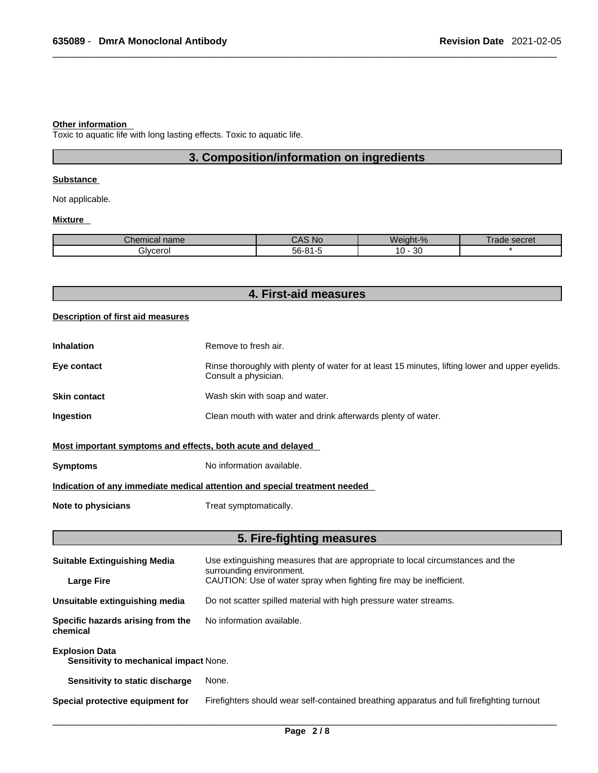#### **Other information**

Toxic to aquatic life with long lasting effects. Toxic to aquatic life.

# **3. Composition/information on ingredients**

#### **Substance**

Not applicable.

#### **Mixture**

| ъ.<br>mm<br>.:nei<br>mıcaı name | <b>NC</b>                  | $\Omega$<br>۸I۵<br>-iuur-<br>$70^{\circ}$ | secret<br>aa |
|---------------------------------|----------------------------|-------------------------------------------|--------------|
| Bivcerol                        | $ \sim$<br>.<br>הרה<br>. . | ററ<br>0<br>υc                             |              |

| 4. First-aid measures |  |
|-----------------------|--|
|-----------------------|--|

#### **Description of first aid measures**

| <b>Inhalation</b> | Remove to fresh air.                                                                                                    |
|-------------------|-------------------------------------------------------------------------------------------------------------------------|
| Eye contact       | Rinse thoroughly with plenty of water for at least 15 minutes, lifting lower and upper eyelids.<br>Consult a physician. |
| Skin contact      | Wash skin with soap and water.                                                                                          |
| Ingestion         | Clean mouth with water and drink afterwards plenty of water.                                                            |
|                   |                                                                                                                         |

### **Most important symptoms and effects, both acute and delayed**

**Symptoms** No information available.

### **Indication of any immediate medical attention and special treatment needed**

**Note to physicians** Treat symptomatically.

# **5. Fire-fighting measures**

| <b>Suitable Extinguishing Media</b>                             | Use extinguishing measures that are appropriate to local circumstances and the<br>surrounding environment. |  |
|-----------------------------------------------------------------|------------------------------------------------------------------------------------------------------------|--|
| <b>Large Fire</b>                                               | CAUTION: Use of water spray when fighting fire may be inefficient.                                         |  |
| Unsuitable extinguishing media                                  | Do not scatter spilled material with high pressure water streams.                                          |  |
| Specific hazards arising from the<br>chemical                   | No information available.                                                                                  |  |
| <b>Explosion Data</b><br>Sensitivity to mechanical impact None. |                                                                                                            |  |
| Sensitivity to static discharge                                 | None.                                                                                                      |  |
| Special protective equipment for                                | Firefighters should wear self-contained breathing apparatus and full firefighting turnout                  |  |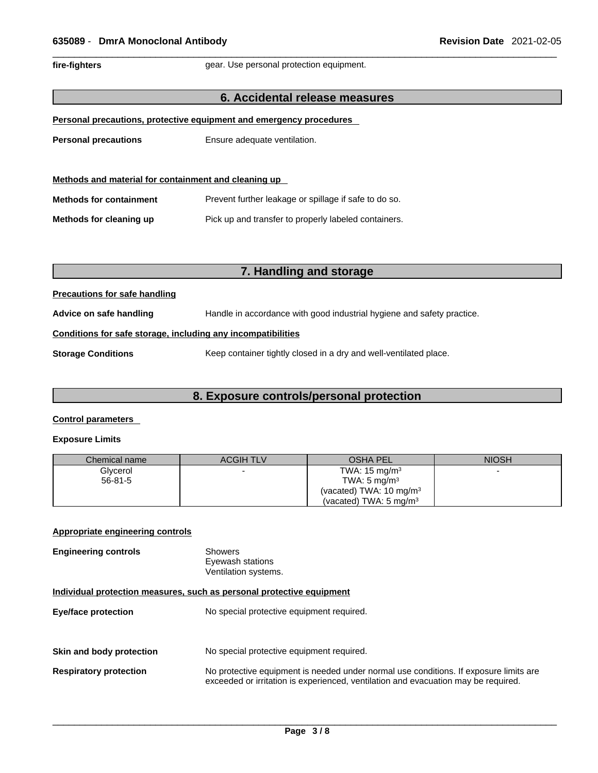fire-fighters **gear.** Use personal protection equipment.

#### **6. Accidental release measures**

|  | Personal precautions, protective equipment and emergency procedures |  |  |
|--|---------------------------------------------------------------------|--|--|
|  |                                                                     |  |  |

**Personal precautions** Ensure adequate ventilation.

| Methods and material for containment and cleaning up |                                                       |  |
|------------------------------------------------------|-------------------------------------------------------|--|
| <b>Methods for containment</b>                       | Prevent further leakage or spillage if safe to do so. |  |
| Methods for cleaning up                              | Pick up and transfer to properly labeled containers.  |  |

# **7. Handling and storage**

#### **Precautions for safe handling**

**Advice on safe handling** Handle in accordance with good industrial hygiene and safety practice.

#### **Conditions for safe storage, including any incompatibilities**

**Storage Conditions** Keep container tightly closed in a dry and well-ventilated place.

### **8. Exposure controls/personal protection**

#### **Control parameters**

#### **Exposure Limits**

| Chemical name | <b>ACGIH TLV</b> | <b>OSHA PEL</b>                    | <b>NIOSH</b> |
|---------------|------------------|------------------------------------|--------------|
| Glycerol      |                  | TWA: $15 \text{ mg/m}^3$           |              |
| $56 - 81 - 5$ |                  | TWA: $5 \text{ mg/m}^3$            |              |
|               |                  | (vacated) TWA: $10 \text{ mg/m}^3$ |              |
|               |                  | (vacated) TWA: $5 \text{ mg/m}^3$  |              |

### **Appropriate engineering controls**

| <b>Engineering controls</b> | Showers              |
|-----------------------------|----------------------|
|                             | Eyewash stations     |
|                             | Ventilation systems. |

#### **Individual protection measures, such as personal protective equipment**

| <b>Eye/face protection</b>    | No special protective equipment required.                                                                                                                                   |
|-------------------------------|-----------------------------------------------------------------------------------------------------------------------------------------------------------------------------|
| Skin and body protection      | No special protective equipment required.                                                                                                                                   |
| <b>Respiratory protection</b> | No protective equipment is needed under normal use conditions. If exposure limits are<br>exceeded or irritation is experienced, ventilation and evacuation may be required. |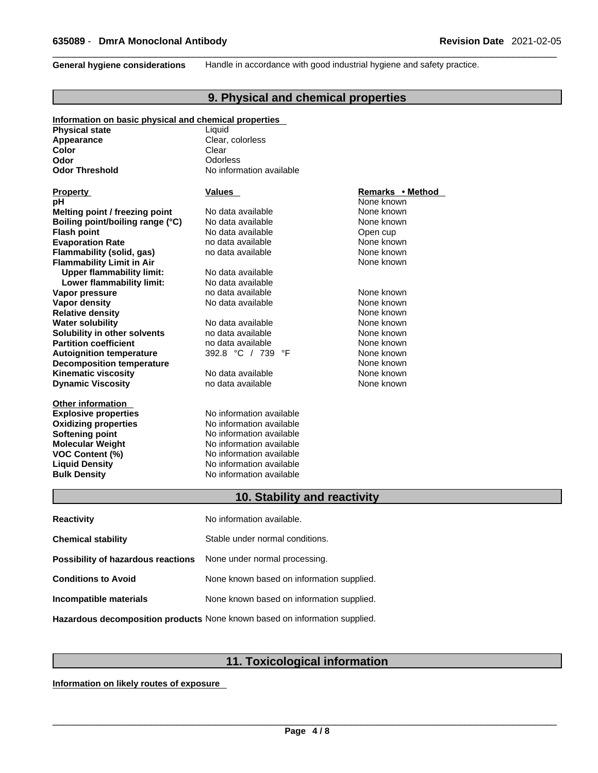**General hygiene considerations** Handle in accordance with good industrial hygiene and safety practice.

# **9. Physical and chemical properties**

| Information on basic physical and chemical properties |                                 |                  |  |
|-------------------------------------------------------|---------------------------------|------------------|--|
| <b>Physical state</b>                                 | Liquid                          |                  |  |
| Appearance                                            | Clear, colorless                |                  |  |
| Color                                                 | Clear                           |                  |  |
| Odor                                                  | Odorless                        |                  |  |
| <b>Odor Threshold</b>                                 | No information available        |                  |  |
|                                                       |                                 |                  |  |
| <b>Property</b>                                       | <b>Values</b>                   | Remarks • Method |  |
| pН                                                    |                                 | None known       |  |
| Melting point / freezing point                        | No data available               | None known       |  |
| Boiling point/boiling range (°C)                      | No data available               | None known       |  |
| <b>Flash point</b>                                    | No data available               | Open cup         |  |
| <b>Evaporation Rate</b>                               | no data available               | None known       |  |
| Flammability (solid, gas)                             | no data available               | None known       |  |
| <b>Flammability Limit in Air</b>                      |                                 | None known       |  |
| <b>Upper flammability limit:</b>                      | No data available               |                  |  |
| Lower flammability limit:                             | No data available               |                  |  |
| Vapor pressure                                        | no data available               | None known       |  |
| <b>Vapor density</b>                                  | No data available               | None known       |  |
| <b>Relative density</b>                               |                                 | None known       |  |
| <b>Water solubility</b>                               | No data available               | None known       |  |
| Solubility in other solvents                          | no data available               | None known       |  |
| <b>Partition coefficient</b>                          | no data available               | None known       |  |
| <b>Autoignition temperature</b>                       | 392.8 °C / 739<br>°F            | None known       |  |
| <b>Decomposition temperature</b>                      |                                 | None known       |  |
| <b>Kinematic viscosity</b>                            | No data available               | None known       |  |
| <b>Dynamic Viscosity</b>                              | no data available               | None known       |  |
| <b>Other information</b>                              |                                 |                  |  |
| <b>Explosive properties</b>                           | No information available        |                  |  |
| <b>Oxidizing properties</b>                           | No information available        |                  |  |
| <b>Softening point</b>                                | No information available        |                  |  |
| <b>Molecular Weight</b>                               | No information available        |                  |  |
| <b>VOC Content (%)</b>                                | No information available        |                  |  |
| <b>Liquid Density</b>                                 | No information available        |                  |  |
| <b>Bulk Density</b>                                   | No information available        |                  |  |
|                                                       | 10. Stability and reactivity    |                  |  |
|                                                       |                                 |                  |  |
| <b>Reactivity</b>                                     | No information available.       |                  |  |
|                                                       |                                 |                  |  |
| <b>Chemical stability</b>                             | Stable under normal conditions. |                  |  |

**Conditions to Avoid** None known based on information supplied. **Incompatible materials** None known based on information supplied.

**Possibility of hazardous reactions** None under normal processing.

**Hazardous decomposition products** None known based on information supplied.

# **11. Toxicological information**

**Information on likely routes of exposure**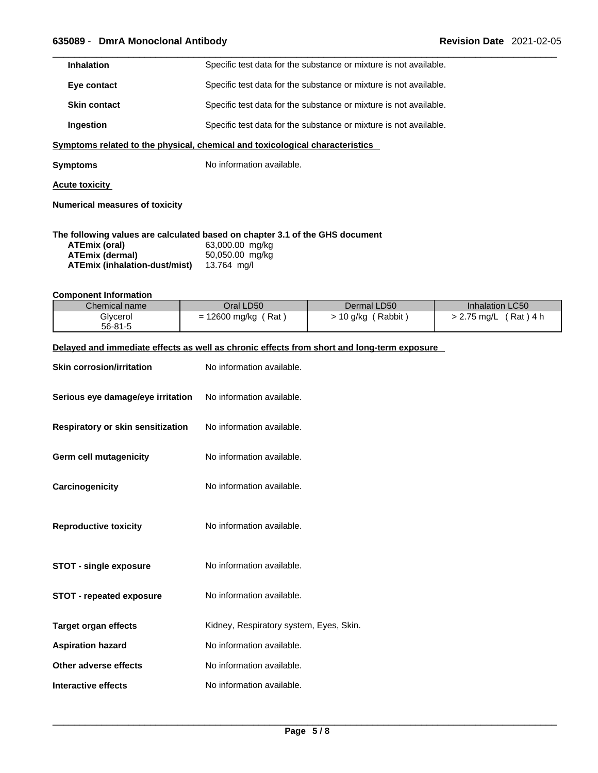| <b>Inhalation</b>   | Specific test data for the substance or mixture is not available. |
|---------------------|-------------------------------------------------------------------|
| Eye contact         | Specific test data for the substance or mixture is not available. |
| <b>Skin contact</b> | Specific test data for the substance or mixture is not available. |
| Ingestion           | Specific test data for the substance or mixture is not available. |
|                     |                                                                   |

**<u>Symptoms related to the physical, chemical and toxicological characteristics</u>** 

**Symptoms** No information available.

**Acute toxicity**

**Numerical measures of toxicity**

#### **The following values are calculated based on chapter 3.1 of the GHS document**

| ATEmix (oral)                 | 63,000.00 mg/kg |
|-------------------------------|-----------------|
| ATEmix (dermal)               | 50,050.00 mg/kg |
| ATEmix (inhalation-dust/mist) | 13.764 ma/l     |

#### **Component Information**

| Chemical name | Oral LD50          | Dermal LD50       | Inhalation LC50        |
|---------------|--------------------|-------------------|------------------------|
| Glycerol      | Rat<br>12600 mg/kg | Rabbit<br>10 g/kg | Rat ) 4 h<br>2.75 mg/L |
| $56 - 81 - 5$ |                    |                   |                        |

#### **Delayed and immediate effects as well as chronic effects from short and long-term exposure**

| <b>Skin corrosion/irritation</b>  | No information available.               |
|-----------------------------------|-----------------------------------------|
| Serious eye damage/eye irritation | No information available.               |
| Respiratory or skin sensitization | No information available.               |
| <b>Germ cell mutagenicity</b>     | No information available.               |
| Carcinogenicity                   | No information available.               |
| <b>Reproductive toxicity</b>      | No information available.               |
| <b>STOT - single exposure</b>     | No information available.               |
| <b>STOT - repeated exposure</b>   | No information available.               |
| <b>Target organ effects</b>       | Kidney, Respiratory system, Eyes, Skin. |
| <b>Aspiration hazard</b>          | No information available.               |
| Other adverse effects             | No information available.               |
| Interactive effects               | No information available.               |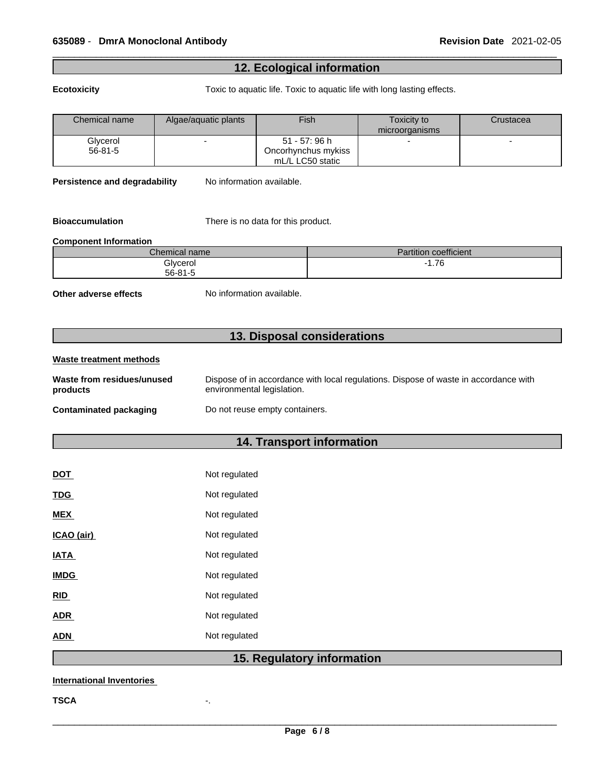# **12. Ecological information**

**Ecotoxicity Toxic to aquatic life. Toxic to aquatic life with long lasting effects.** 

| Chemical name | Algae/aquatic plants | Fish                | <b>Toxicity to</b> | Crustacea |
|---------------|----------------------|---------------------|--------------------|-----------|
|               |                      |                     | microorganisms     |           |
| Glycerol      |                      | $51 - 57:96 h$      | -                  |           |
| $56-81-5$     |                      | Oncorhynchus mykiss |                    |           |
|               |                      | mL/L LC50 static    |                    |           |

**Persistence and degradability** No information available.

**Bioaccumulation** There is no data for this product.

#### **Component Information**

| Chemical name | <b>Partition coefficient</b> |
|---------------|------------------------------|
| Glvcerol      | 7C<br>1.70                   |
| $56 - 81 - 5$ |                              |

**Other adverse effects** No information available.

# **13. Disposal considerations**

#### **Waste treatment methods Waste from residues/unused products**  Dispose of in accordance with local regulations. Dispose of waste in accordance with environmental legislation. **Contaminated packaging Do not reuse empty containers.**

# **14. Transport information**

| <b>DOT</b>        | Not regulated |
|-------------------|---------------|
| <b>TDG</b>        | Not regulated |
| <b>MEX</b>        | Not regulated |
| <u>ICAO (air)</u> | Not regulated |
| <b>IATA</b>       | Not regulated |
| <b>IMDG</b>       | Not regulated |
| <b>RID</b>        | Not regulated |
| <b>ADR</b>        | Not regulated |
| ADN               | Not regulated |
|                   |               |

# **15. Regulatory information**

#### **International Inventories**

**TSCA** -.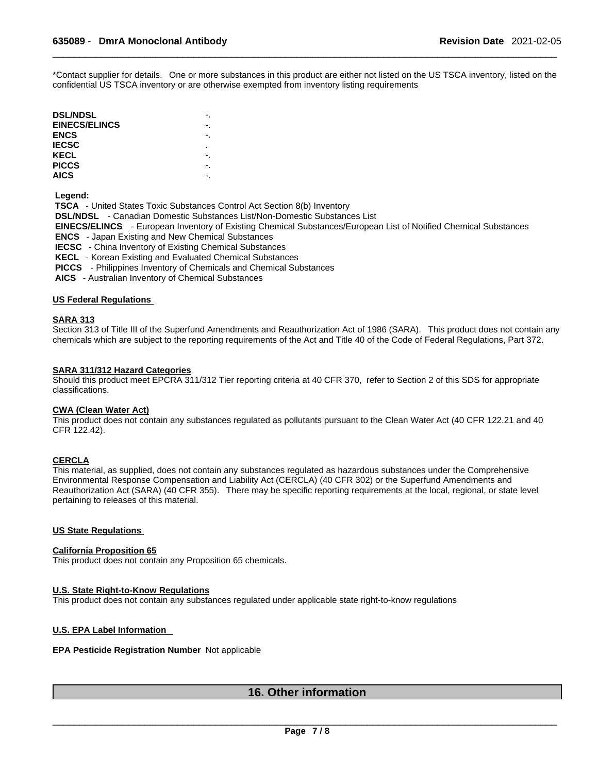\*Contact supplier for details. One or more substances in this product are either not listed on the US TSCA inventory, listed on the confidential US TSCA inventory or are otherwise exempted from inventory listing requirements

| <b>DSL/NDSL</b>      |    |  |
|----------------------|----|--|
| <b>EINECS/ELINCS</b> | -. |  |
| ENCS                 |    |  |
| <b>IECSC</b>         | ٠  |  |
| <b>KECL</b>          | -. |  |
| <b>PICCS</b>         |    |  |
| <b>AICS</b>          |    |  |
|                      |    |  |

 **Legend:** 

 **TSCA** - United States Toxic Substances Control Act Section 8(b) Inventory  **DSL/NDSL** - Canadian Domestic Substances List/Non-Domestic Substances List  **EINECS/ELINCS** - European Inventory of Existing Chemical Substances/European List of Notified Chemical Substances  **ENCS** - Japan Existing and New Chemical Substances  **IECSC** - China Inventory of Existing Chemical Substances  **KECL** - Korean Existing and Evaluated Chemical Substances  **PICCS** - Philippines Inventory of Chemicals and Chemical Substances

 **AICS** - Australian Inventory of Chemical Substances

#### **US Federal Regulations**

#### **SARA 313**

Section 313 of Title III of the Superfund Amendments and Reauthorization Act of 1986 (SARA). This product does not contain any chemicals which are subject to the reporting requirements of the Act and Title 40 of the Code of Federal Regulations, Part 372.

#### **SARA 311/312 Hazard Categories**

Should this product meet EPCRA 311/312 Tier reporting criteria at 40 CFR 370, refer to Section 2 of this SDS for appropriate classifications.

#### **CWA (Clean WaterAct)**

This product does not contain any substances regulated as pollutants pursuant to the Clean Water Act (40 CFR 122.21 and 40 CFR 122.42).

#### **CERCLA**

This material, as supplied, does not contain any substances regulated as hazardous substances under the Comprehensive Environmental Response Compensation and Liability Act (CERCLA) (40 CFR 302) or the Superfund Amendments and Reauthorization Act (SARA) (40 CFR 355). There may be specific reporting requirements at the local, regional, or state level pertaining to releases of this material.

#### **US State Regulations**

#### **California Proposition 65**

This product does not contain any Proposition 65 chemicals.

#### **U.S. State Right-to-Know Regulations**

This product does not contain any substances regulated under applicable state right-to-know regulations

#### **U.S. EPA Label Information**

#### **EPA Pesticide Registration Number** Not applicable

## **16. Other information**